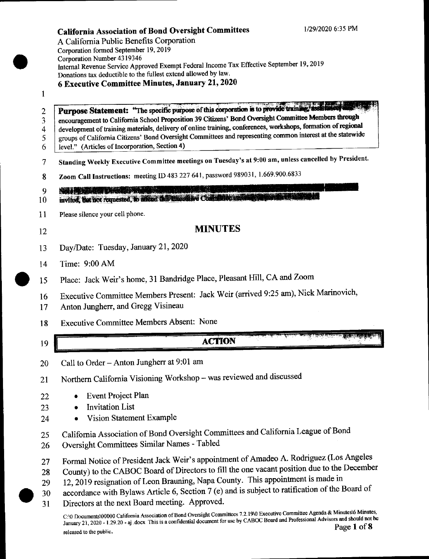A Califomia Public Benefits Corporation Corporation formed September 19, 2019 Corporation Number 4319346 Internal Revenue Service Approved Exempt Federal Income Tax Effective September 19, 2019 Donations tax deductible to the fullest extend allowed by law. 6 Executive Committee Minutes, January 21,2020

#### $\mathbf{1}$

2 ., 4 Purpose Statement: "The specific purpose of this corporation is to provide train encouragement to California School Proposition 39 Citizens' Bond Oversight Committee Members through development of training materials, delivery of online training, conferences, workshops, formation of regional groups of Califomia Citizens' Bond Oversight Committees and representing common interest at the statewide

- 5 6 level." (Articles of Incorporation, Section 4)
- 7 Standing Weekly Executive Committee meetings on Tuesday's at 9:00 am, unless cancelled by President.
- 8 Zoom Call Instructions: meeting ID 483 227 641, password 989031, 1.669.900.6833

ata tanàna ao amin'ny faritr'i Nouvelle-Aquitaine,<br>Ny INSEE dia mampiasa ny kaodim-paositra 2008–2014.  $\mathbf Q$ 

mvlted, that not requested, to affend this transmitted Contributes in l0

- 11 Please silence your cell phone.
- 12

# MINUTES

- 13 Day/Date: Tuesday, January 21, 2020
- t4 Time: 9:00 AM
- Place: Jack Weir's home, 3l Bandridge Place, Pleasant Hill, CA and Zoom  $\bullet$  15
	- Executive Committee Members Present: Jack Weir (arrived 9:25 am), Nick Marinovich, t6
	- Anton Jungherr, and Gregg Visineau 17
	- Executive Committee Members Absent: None 18

# t9

23

22

# **ACTION**

20 Call to Order - Anton Jungherr at 9:01 am

2l Northern califomia visioning workshop - was reviewed and discussed

- Event Project Plan
- Invitation List
- Vision Statement Example 24
- califomia Association of Bond oversight committees and california League of Bond 25
- Oversight Committees Similar Names Tabled 26
- 27 Formal Notice of President Jack Weir's appointment of Amadeo A. Rodriguez (Los Angeles
- 28 County) to the CABOC Board of Directors to fill the one vacant position due to the December
- 29 12, 2019 resignation of Leon Brauning, Napa County. This appointment is made in
- 30 accordance with Bylaws Article 6, Section 7 (e) and is subject to ratification of the Board of
- 31 Directors at the next Board meeting. Approved.

C:\0 Documents\00000 California Association of Bond Oversight Committees 7.2.19\0 Executive Committee Agenda & Minutes\6 Minutes, January 21, 2020 - 1.29.20 - aj .docx This is a confidential document for use by CABOC Board and Professional Advisors and should not be January 21, 2020 - 1.29.20 - aj .docx This is a confidential document for use by CAB released to the public. Page 1 of 8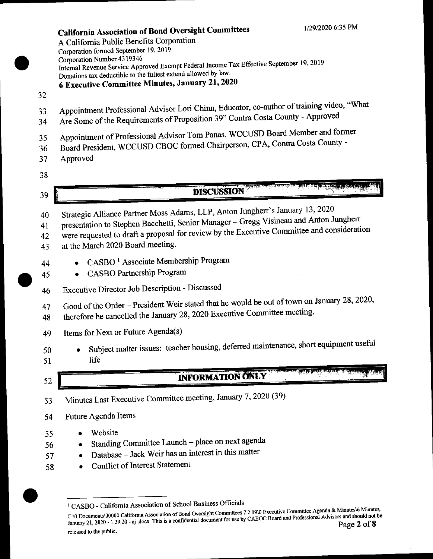California Association of Bond Oversight Committees A Califomia Public Benefits Corporation Corporation formed September 19, 2019<br>Corporation Number 4319346 Corporation Number 43 19146 Internal Revenue Service Approved Exempt Federal Income Tax Effective September 19, Donations tax deductible to the fullest extend allowed by iaw' <sup>6</sup>Executive Committee Minutes, January 21,2020

- 32
- 33 Appointment Professional Advisor Lori Chinn, Educator, co-author of training video, "What
- 34 Are Some of the Requirements of Proposition 39" Contra Costa County Approved
- 35 Appointment of Professional Advisor Tom Panas, WCCUSD Board Member and former
- 36 Board President, wCCUsD CBoC formed Chairperson, CPA, Contra Costa County -
- 37 Approved
- 38

39

# **DISCUSSION**

- 40 Strategic Alliance Partner Moss Adams, LLP, Anton Jungherr's January 13, 2020
- 41 presentation to Stephen Bacchetti, Senior Manager Gregg Visineau and Anton Jungherr
- 42 were requested to draft a proposal for review by the Executive Committee and consideration
- 43 at the March 2020 Board meeting.
- 44 **•** CASBO<sup>1</sup> Associate Membership Program
- 45 CASBO Partnership Program
- 46 Executive Director Job Description Discussed
- 47 Good of the Order President Weir stated that he would be out of town on January 28, 2020,
- 48 therefore he cancelled the January 28, 2020 Executive Committee meeting.
- 49 Items for Next or Future Agenda(s)
- 50 Subject matter issues: teacher housing, deferred maintenance, short equipment useful life
- 5l

52

56 57 58

# **INFORMATION ONLY**

- 
- 53 Minutes Last Executive committee meeting, January 7,2020 (39)
- 54 Future Agenda Items
- 55 **Website** 
	- o Standing Committee Launch place on next agenda
	- Database Jack Weir has an interest in this matter
	- Conflict of Interest Statement

<sup>&</sup>lt;sup>1</sup> CASBO - California Association of School Business Officials

C:\0 Documents\00000 California Association of Bond Oversight Committees 7.2.19\0 Executive Committee Agenda & Minutes\6 Minutes,  $C/0$  Documents/00000 California Association of Bond Oversignt Commutes Arrivan control and Professional Advisors and should not be January 21, 2020 - 1.29.20 - aj .docx This is a confidential document for use by CABOC Bo released to the public.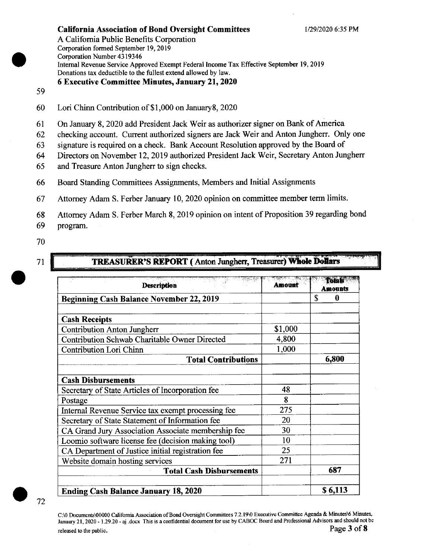A Califomia Public Benefits Corporation Corporation formed September 19, 2019 Corporation Number 4319346 Intemal Revenue Service Approved Exempt Federal lncome Tax Effective September 19,2019 Donations tax deductible to the fullest extend allowed by law.

#### 6 Executive Committee Minutes, January 21,2020

#### 59

- 60 Lori Chinn Contribution of S I ,000 on January8, <sup>2020</sup>
- 6l On January 8,2020 add President Jack Weir as authorizer signer on Bank of America
- 62 checking account. Current authorized signers are Jack Weir and Anton Jungherr. Only one
- 63 signature is required on a check. Bank Account Resolution approved by the Board of
- 64 Directors on November 12,2019 authorized President Jack Weir, Secretary Anton Jungherr
- 65 and Treasure Anton Jungherr to sign checks.
- 66 Board Standing Committees Assignments, Members and Initial Assignments
- 67 Attorney Adam S. Ferber January 10, 2020 opinion on committee member term limits.
- 68 Attomey Adam S. Ferber March 8,2019 opinion on intent of Proposition 39 regarding bond
- 69 program.
- 70
- 7t

#### TREASURER'S REPORT (Anton Jungherr, Treasurer) Whole Dollars

| <b>Description</b>                                   | Amount  | Totals<br><b>Amounts</b> |
|------------------------------------------------------|---------|--------------------------|
| <b>Beginning Cash Balance November 22, 2019</b>      |         | \$<br>$\mathbf{0}$       |
|                                                      |         |                          |
| <b>Cash Receipts</b>                                 |         |                          |
| <b>Contribution Anton Jungherr</b>                   | \$1,000 |                          |
| <b>Contribution Schwab Charitable Owner Directed</b> | 4,800   |                          |
| Contribution Lori Chinn                              | 1,000   |                          |
| <b>Total Contributions</b>                           |         | 6,800                    |
|                                                      |         |                          |
| <b>Cash Disbursements</b>                            |         |                          |
| Secretary of State Articles of Incorporation fee     | 48      |                          |
| Postage                                              | 8       |                          |
| Internal Revenue Service tax exempt processing fee   | 275     |                          |
| Secretary of State Statement of Information fee      | 20      |                          |
| CA Grand Jury Association Associate membership fee   | 30      |                          |
| Loomio software license fee (decision making tool)   | 10      |                          |
| CA Department of Justice initial registration fee    | 25      |                          |
| Website domain hosting services                      | 271     |                          |
| <b>Total Cash Disbursements</b>                      |         | 687                      |
| <b>Ending Cash Balance January 18, 2020</b>          |         | \$6,113                  |



C:\0 Documents\00000 California Association of Bond Oversight Committees 7.2.19\0 Executive Committee Agenda & Minutes\6 Minutes, January 21, 2020 - 1.29.20 - aj docx This is a confidential document for use by CABOC Board and Professional Advisors and should not be released to the nublic. Page 3 of 8 released to the public.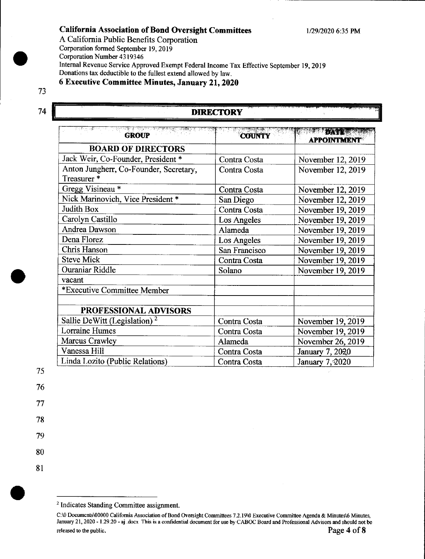#### California Association of Bond Oversight Committees 1/29/2020 6:35 PM

A California Public Benefits Corporation Corporation formed September 19, 2019

Corporation Number 43 19346

Internal Revenue Service Approved Exempt Federal Income Tax Effective September 19, 2019 Donations tax deductible to the fullest extend allowed by law.

6 Executive Committee Minutes, January 21,2020

# 73

# 74 DIRECTORY

| <b>GROUP</b>                             | <b>COUNTY</b> | <b>TATE</b><br><b>APPOINTMENT</b> |
|------------------------------------------|---------------|-----------------------------------|
| <b>BOARD OF DIRECTORS</b>                |               |                                   |
| Jack Weir, Co-Founder, President *       | Contra Costa  | November 12, 2019                 |
| Anton Jungherr, Co-Founder, Secretary,   | Contra Costa  | November 12, 2019                 |
| Treasurer <sup>*</sup>                   |               |                                   |
| Gregg Visineau*                          | Contra Costa  | November 12, 2019                 |
| Nick Marinovich, Vice President *        | San Diego     | November 12, 2019                 |
| Judith Box                               | Contra Costa  | November 19, 2019                 |
| Carolyn Castillo                         | Los Angeles   | November 19, 2019                 |
| Andrea Dawson                            | Alameda       | November 19, 2019                 |
| Dena Florez                              | Los Angeles   | November 19, 2019                 |
| Chris Hanson                             | San Francisco | November 19, 2019                 |
| <b>Steve Mick</b>                        | Contra Costa  | November 19, 2019                 |
| Ouraniar Riddle                          | Solano        | November 19, 2019                 |
| vacant                                   |               |                                   |
| *Executive Committee Member              |               |                                   |
|                                          |               |                                   |
| <b>PROFESSIONAL ADVISORS</b>             |               |                                   |
| Sallie DeWitt (Legislation) <sup>2</sup> | Contra Costa  | November 19, 2019                 |
| <b>Lorraine Humes</b>                    | Contra Costa  | November 19, 2019                 |
| <b>Marcus Crawley</b>                    | Alameda       | November 26, 2019                 |
| Vanessa Hill                             | Contra Costa  | January 7, 2020                   |
| Linda Lozito (Public Relations)          | Contra Costa  | January 7, 2020                   |

75

80

8l

<sup>&</sup>lt;sup>2</sup> Indicates Standing Committee assignment.

C:\0 Documents\00000 California Association of Bond Oversight Committees 7.2.19\0 Executive Committee Agenda & Minutes\6 Minutes, January 21, 2020 - 1.29.20 - aj .docx This is a confidential document for use by CABOC Board and Professional Advisors and should not be released to the public.  $\Box$  Page 4 of 8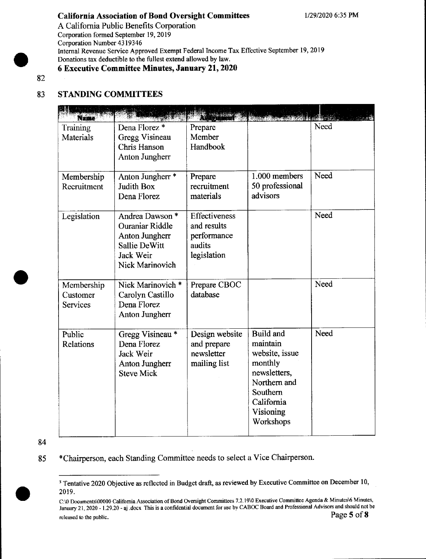### California Association of Bond Oversight Committees 1/29/2020 6:35 PM

A California Public Benefits Corporation Corporation formed September 19, 2019 Corporation Number 4319346 Internal Revenue Service Approved Exempt Federal Income Tax Effective September 19, 2019 Donations tax deductible to the fullest extend allowed by law. 6 Executive Committee Minutes, January 21, 2020

82

# 83 STANDING COMMITTEES

| Name                                      |                                                                                                                                |                                                                      |                                                                                                                                        |      |
|-------------------------------------------|--------------------------------------------------------------------------------------------------------------------------------|----------------------------------------------------------------------|----------------------------------------------------------------------------------------------------------------------------------------|------|
| Training<br>Materials                     | Dena Florez <sup>*</sup><br>Gregg Visineau<br>Chris Hanson<br>Anton Jungherr                                                   | Prepare<br>Member<br>Handbook                                        |                                                                                                                                        | Need |
| Membership<br>Recruitment                 | Anton Jungherr <sup>*</sup><br><b>Judith Box</b><br>Dena Florez                                                                | Prepare<br>recruitment<br>materials                                  | 1.000 members<br>50 professional<br>advisors                                                                                           | Need |
| Legislation                               | Andrea Dawson <sup>*</sup><br><b>Ouraniar Riddle</b><br>Anton Jungherr<br><b>Sallie DeWitt</b><br>Jack Weir<br>Nick Marinovich | Effectiveness<br>and results<br>performance<br>audits<br>legislation |                                                                                                                                        | Need |
| Membership<br>Customer<br><b>Services</b> | Nick Marinovich *<br>Carolyn Castillo<br>Dena Florez<br><b>Anton Jungherr</b>                                                  | Prepare CBOC<br>database                                             |                                                                                                                                        | Need |
| Public<br>Relations                       | Gregg Visineau*<br>Dena Florez<br>Jack Weir<br>Anton Jungherr<br><b>Steve Mick</b>                                             | Design website<br>and prepare<br>newsletter<br>mailing list          | Build and<br>maintain<br>website, issue<br>monthly<br>newsletters.<br>Northern and<br>Southern<br>California<br>Visioning<br>Workshops | Need |

84

\*Chairperson, each Standing Committee needs to select a Vice Chairperson. 85

<sup>&</sup>lt;sup>3</sup> Tentative 2020 Objective as reflected in Budget draft, as reviewed by Executive Committee on December 10, 2019.

C:\0 Documents\00000 California Association of Bond Oversight Committees 7.2.19\0 Executive Committee Agenda & Minutes\6 Minutes, January 21, 2020 - 1.29.20 - aj docx This is a confidential document for use by CABOC Board and Professional Advisors and should not be<br>Page 5 of 8 released to the public.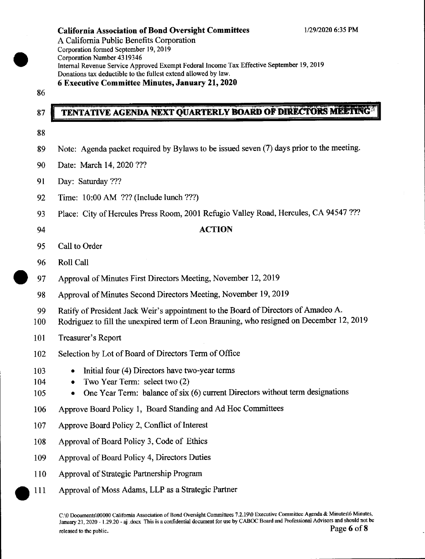A California Public Benefits Corporation Corporation formed September 19, 2019 Corporation Number 43 19346 Internal Revenue Service Approved Exempt Federal lncome Tax Effective September 19,2019 Donations tax deductible to the fullest extend allowed by law. 6 Executive Committee Minutes, January 21, 2020

86

# TENTATIVE AGENDA NEXT QUARTERLY BOARD OF DIRECTORS MELTING

88

87

- 89 Note: Agenda packet required by Bylaws to be issued seven (7) days prior to the meeting.
- 90 Date: March 14,2020???
- 9l Day: Saturday ???
- 92 Time: 10:00 AM ??? (Include lunch ???)
- 93 Place: City of Hercules Press Room, 2001 Refugio Valley Road, Hercules, CA 94547 ???
- 

# 94 **ACTION**

- 95 Call to Order
- 96 Roll Call
- 97 Approval of Minutes First Directors Meeting, November 12, 2019
- 98 Approval of Minutes Second Directors Meeting, November 19,2019
- 99 Ratify of President Jack Weir's appointment to the Board of Directors of Amadeo A.
- 100 Rodriguez to fill the unexpired term of Leon Brauning, who resigned on December 12,2019
- l0l Treasurer's Report
- 102 Selection by Lot of Board of Directors Term of Office
- 103 Initial four (4) Directors have two-year terms
- 104 Two Year Term: select two (2)
- 105 One Year Term: balance of six (6) current Directors without term designations
- 106 Approve Board Policy l, Board Standing and Ad Hoc Committees
- 107 Approve Board Policy 2, Conflict of Interest
- 108 Approval of Board Policy 3, Code of Ethics
- 109 Approval of Board Policy 4, Directors Duties
- 110 Approval of Strategic Partnership Program
- Approval of Moss Adams, LLP as a Strategic Partner o111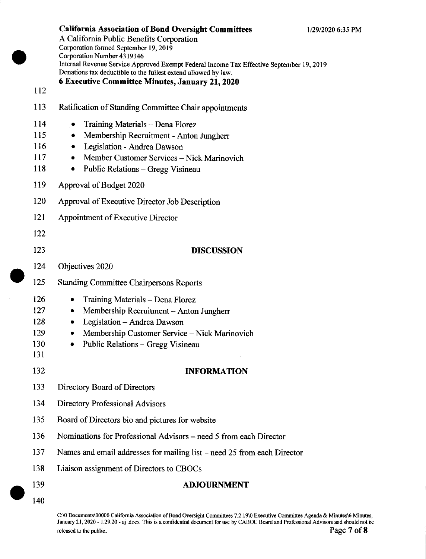California Association of Bond Oversight Committees 1/29/2020 6:35 PM A California Public Benefits Corporation Corporation formed September 19, 2019 Corporation Number 4319346 Internal Revenue Service Approved Exempt Federal Income Tax Effective September 19, 2019 Donations tax deductible to the fullest extend allowed by law.

- <sup>I</sup>l3 Ratification of Standing Committee Chair appointments
- 114 Training Materials Dena Florez<br>115 Membershin Recruitment Anton
- Membership Recruitment Anton Jungherr
- 116 Legislation Andrea Dawson
- 117 Member Customer Services Nick Marinovich<br>118 Public Relations Gregg Visineau
- Public Relations Gregg Visineau
- 119 Approval of Budget 2020

112

- 120 Approval of Executive Director Job Description
- l2l Appointment of Executive Director
- 122 123 DISCUSSION 124 Objectives 2020 125 Standing Committee Chairpersons Reports 126 • Training Materials – Dena Florez<br>127 • Membership Recruitment – Antor 127 • Membership Recruitment - Anton Jungherr<br>128 • Legislation - Andrea Dawson 128 • Legislation – Andrea Dawson<br>129 • Membership Customer Service 129 • Membership Customer Service - Nick Marinovich<br>130 • Public Relations - Gregg Visineau  $\bullet$  Public Relations - Gregg Visineau 131 132 **INFORMATION** 133 Directory Board of Directors
- 134 Directory Professional Advisors
- 135 Board of Directors bio and pictures for website
- 136 Nominations for Professional Advisors need 5 from each Director
- 137 Names and email addresses for mailing list need 25 from each Director
- 138 Liaison assignment of Directors to CBOCs

#### 139 ADJOURNMENT

140

<sup>C</sup>:\0 Documcnts\00000 Califomia Association of Bond Oversigh Committees 7 .2 . l9\0 Executive Committee Agenda & Minutes\6 Minutes, January 21, 2020 - 1.29.20 - aj .docx This is a confidential document for use by CABOC Board and Professional Advisors and should not be reteased io ftE publi". Page 7 of 8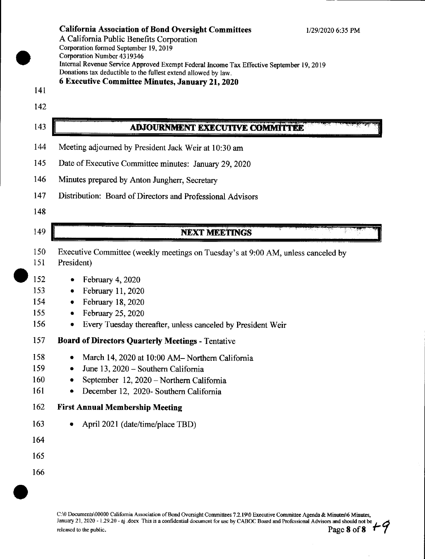A California Public Benefits Corporation Corporation formed September 19, 2019 Corporation Number 4319346 Internal Revenue Service Approved Exempt Federal Income Tax Effective September 19, 2019 Donations tax deductible to the fullest extend allowed by law.

### 6 Executive Committee Minutes, January 21, 2020

- 141
- 142

143

# ADJOURNMENT EXECUTIVE COMMITTEE

- 144 Meeting adjoumed by President Jack Weir at 10:30 am
- 145 Date of Executive Committee minutes: January 29, 2020
- 146 Minutes prepared by Anton Jungherr, Secretary
- 147 Distribution: Board of Directors and Professional Advisors
- 148

## 149

153

## **NEXT MEETINGS**

- 150 Executive Committee (weekly meetings on Tuesday's at 9:00 AM, unless canceled by
- 151 President)
- 152  $\bullet$  February 4, 2020
	- $\bullet$  February 11, 2020
- 154 o February 18,2020
- 155  $\bullet$  February 25, 2020
- 156 . Every Tuesday thereafter, unless canceled by President Weir
- 157 Board of Directors Quarterly Meetings - Tentative
- 158 • March 14, 2020 at 10:00 AM- Northern California
- 159  $\bullet$  June 13, 2020 - Southern California
- 160 • September 12, 2020 – Northern California
- 161 • December 12, 2020- Southern California

#### 162 **First Annual Membership Meeting**

- 163 • April 2021 (date/time/place TBD)
- 164
- 165
- 166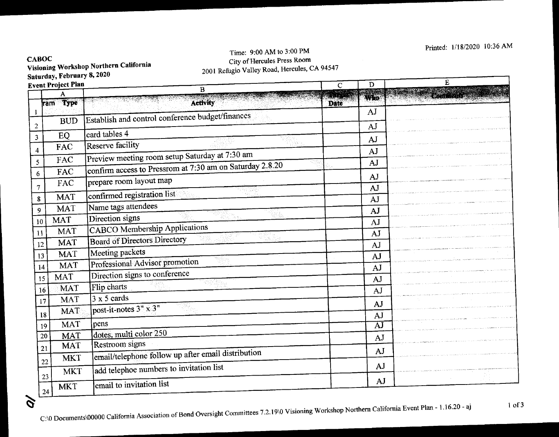#### **CABOC** Visioning Workshop Northern California SaturdaY, FebruarY 8, 2020 ,

 $\hat{\sigma}$ 

 $24$ 

# Time: 9:00 AM to 3:00 PM CitY of Hercules Press Room 2001 Refugio Valley Road, Hercules, CA 94547

| Event Project Plan<br>B |                                                                      |             | D        | E |
|-------------------------|----------------------------------------------------------------------|-------------|----------|---|
|                         |                                                                      |             | Who      |   |
| ram Type                | <b>Activity</b>                                                      | <b>Date</b> | AI       |   |
| <b>BUD</b>              | Establish and control conference budget/finances                     |             | AJ       |   |
| EQ                      | card tables 4                                                        |             |          |   |
| FAC                     | <b>Reserve facility</b>                                              |             | AJ       |   |
| FAC                     | Preview meeting room setup Saturday at 7:30 am                       |             | AJ<br>AJ |   |
| FAC                     | confirm access to Pressrom at 7:30 am on Saturday 2.8.20             |             |          |   |
| FAC                     | prepare room layout map                                              |             | AJ<br>AJ |   |
| MAT                     | confirmed registration list                                          |             | AJ       |   |
| <b>MAT</b>              | Name tags attendees                                                  |             | AJ       |   |
| <b>MAT</b><br>10        | Direction signs                                                      |             | AJ       |   |
| <b>MAT</b>              | <b>CABCO</b> Membership Applications                                 |             | AJ       |   |
| <b>MAT</b><br>12        | <b>Board of Directors Directory</b>                                  |             | AJ       |   |
| <b>MAT</b><br>13        | Meeting packets                                                      |             | AJ       |   |
| <b>MAT</b><br>14        | Professional Advisor promotion                                       |             | AJ       |   |
| <b>MAT</b><br>15        | Direction signs to conference                                        |             | AJ       |   |
| <b>MAT</b><br>16        | Flip charts                                                          |             | AJ       |   |
| <b>MAT</b><br>17        | $3 \times 5$ cards                                                   |             | AJ       |   |
| <b>MAT</b><br>18        | post-it-notes $3'' \times 3''$                                       |             | AJ       |   |
| <b>MAT</b><br>19        | pens                                                                 |             | ĀJ       |   |
| <b>MAT</b><br>20        | dotes, multi color 250                                               |             | AJ       |   |
| <b>MAT</b><br>21        | Restroom signs<br>email/telephone follow up after email distribution |             | AJ       |   |
| <b>MKT</b><br>22        |                                                                      |             | AJ       |   |
| <b>MKT</b><br>23        | add telephoe numbers to invitation list                              |             |          |   |
| <b>MKT</b>              | email to invitation list                                             |             | AJ       |   |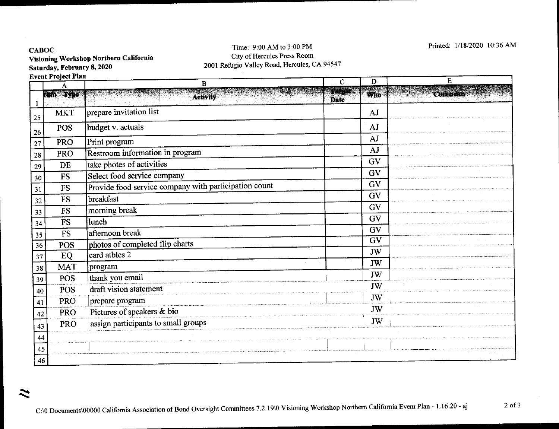**CABOC** 

 $\boldsymbol{\tilde{z}}$ 

Visioning Workshop Northern California Saturday, February 8, 2020

#### Time: 9:00 AM to 3:00 PM City of Hercules Press Room 2001 Refugio Valley Road, Hercules, CA94547

Printed: 1/18/2020 l0:36 AM

|    | Event Project Plan<br>E<br>D<br>C |                                                       |               |                 |          |
|----|-----------------------------------|-------------------------------------------------------|---------------|-----------------|----------|
|    |                                   | B                                                     | <b>REALTH</b> |                 |          |
|    | ran Type                          | <b>Activity</b>                                       | Date          | Who             | Comments |
| 25 | <b>MKT</b>                        | prepare invitation list                               |               | AJ              |          |
| 26 | <b>POS</b>                        | budget v. actuals                                     |               | AJ              |          |
| 27 | <b>PRO</b>                        | Print program                                         |               | AJ              |          |
| 28 | <b>PRO</b>                        | Restroom information in program                       |               | AJ              |          |
| 29 | DE                                | take photes of activities                             |               | <b>GV</b>       |          |
| 30 | <b>FS</b>                         | Select food service company                           |               | GV              |          |
| 31 | <b>FS</b>                         | Provide food service company with participation count |               | <b>GV</b>       |          |
| 32 | <b>FS</b>                         | breakfast                                             |               | <b>GV</b>       |          |
| 33 | ${\rm FS}$                        | morning break                                         |               | <b>GV</b>       |          |
| 34 | <b>FS</b>                         | <b>lunch</b>                                          |               | GV              |          |
| 35 | <b>FS</b>                         | afternoon break                                       |               | GV              |          |
| 36 | <b>POS</b>                        | photos of completed flip charts                       |               | $\overline{GV}$ |          |
| 37 | EQ                                | card atbles 2                                         |               | JW              |          |
| 38 | <b>MAT</b>                        | program                                               |               | JW              |          |
| 39 | <b>POS</b>                        | thank you email                                       |               | JW              |          |
| 40 | <b>POS</b>                        | draft vision statement                                |               | JW              |          |
| 41 | PRO                               | prepare program                                       |               | JW              |          |
| 42 | <b>PRO</b>                        | Pictures of speakers & bio                            |               | JW              |          |
| 43 | <b>PRO</b>                        | assign participants to small groups                   |               | JW              |          |
| 44 |                                   |                                                       |               |                 |          |
| 45 |                                   |                                                       |               |                 |          |
| 46 |                                   |                                                       |               |                 |          |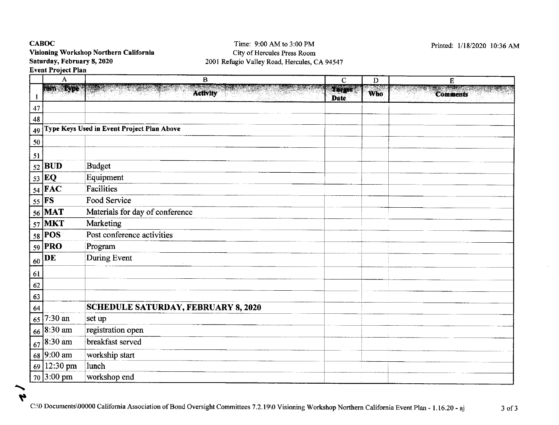# CABOC Visioning Workshop Northern California Saturday, February 8, 2020

#### Time: 9:00 AM to 3:00 PM City of Hercules Press Room 2001 Refugio Valley Road, Hercules, CA94547

Printed: 1/18/2020 10:36 AM

 $\alpha$  .

|          | A                     | $\overline{B}$                             | $\mathbf C$                       | $\mathbf D$ | E               |
|----------|-----------------------|--------------------------------------------|-----------------------------------|-------------|-----------------|
|          | <b>Rain - Lyne</b>    | <b>Activity</b>                            | ECT <sup>era</sup><br><b>Date</b> | <b>Who</b>  | <b>Comments</b> |
| 47       |                       |                                            |                                   |             |                 |
| $\bf 48$ |                       |                                            |                                   |             |                 |
| 49       |                       | Type Keys Used in Event Project Plan Above |                                   |             |                 |
| 50       |                       |                                            |                                   |             |                 |
|          |                       |                                            |                                   |             |                 |
| 51<br>52 | <b>BUD</b>            | <b>Budget</b>                              |                                   |             |                 |
| 53       | EQ                    | Equipment                                  |                                   |             |                 |
|          | $54$ $\overline{FAC}$ | <b>Facilities</b>                          |                                   |             |                 |
| 55       | FS                    | Food Service                               |                                   |             |                 |
|          | 56 MAT                | Materials for day of conference            |                                   |             |                 |
|          | 57 MKT                | Marketing                                  |                                   |             |                 |
|          | $58$ POS              | Post conference activities                 |                                   |             |                 |
|          | 59 PRO                | Program                                    |                                   |             |                 |
| 60       | DE                    | During Event                               |                                   |             |                 |
| 61       |                       |                                            |                                   |             |                 |
| 62       |                       |                                            |                                   |             |                 |
| 63       |                       |                                            |                                   |             |                 |
| 64       |                       | <b>SCHEDULE SATURDAY, FEBRUARY 8, 2020</b> |                                   |             |                 |
| 65       | 7:30 an               | set up                                     |                                   |             |                 |
|          | 66 8:30 am            | registration open                          |                                   |             |                 |
|          | $67$ 8:30 am          | breakfast served                           |                                   |             |                 |
|          | 68 9:00 am            | workship start                             |                                   |             |                 |
|          | $69$   12:30 pm       | lunch                                      |                                   |             |                 |
|          | $70$ 3:00 pm          | workshop end                               |                                   |             |                 |

H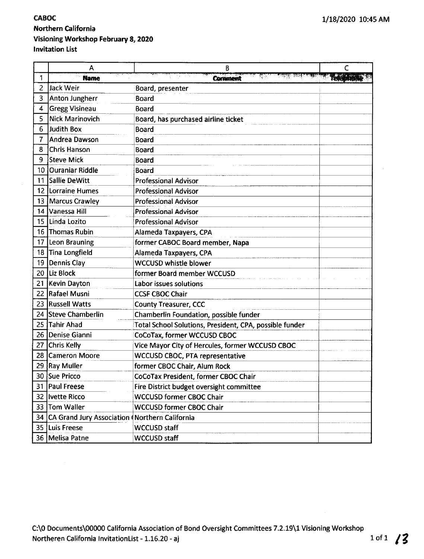# CABOC Northern California Visioning Workshop February 8, 2020 lnvitation List

|    | Α                                                 | В                                                       | С |
|----|---------------------------------------------------|---------------------------------------------------------|---|
| 1  | <b>Name</b>                                       | <b>Comment</b>                                          |   |
| 2  | Jack Weir                                         | Board, presenter                                        |   |
| 3  | Anton Jungherr                                    | <b>Board</b>                                            |   |
| 4  | Gregg Visineau                                    | <b>Board</b>                                            |   |
| 5  | <b>Nick Marinovich</b>                            | Board, has purchased airline ticket                     |   |
| 6  | Judith Box                                        | <b>Board</b>                                            |   |
|    | Andrea Dawson                                     | <b>Board</b>                                            |   |
| 8  | Chris Hanson                                      | <b>Board</b>                                            |   |
| 9  | <b>Steve Mick</b>                                 | Board                                                   |   |
| 10 | <b>Ouraniar Riddle</b>                            | <b>Board</b>                                            |   |
| 11 | Sallie DeWitt                                     | <b>Professional Advisor</b>                             |   |
|    | 12 Lorraine Humes                                 | <b>Professional Advisor</b>                             |   |
| 13 | Marcus Crawley                                    | <b>Professional Advisor</b>                             |   |
| 14 | Vanessa Hill                                      | <b>Professional Advisor</b>                             |   |
| 15 | Linda Lozito                                      | <b>Professional Advisor</b>                             |   |
| 16 | Thomas Rubin                                      | Alameda Taxpayers, CPA                                  |   |
| 17 | <b>Leon Brauning</b>                              | former CABOC Board member, Napa                         |   |
| 18 | Tina Longfield                                    | Alameda Taxpayers, CPA                                  |   |
| 19 | Dennis Clay                                       | <b>WCCUSD whistle blower</b>                            |   |
| 20 | Liz Block                                         | former Board member WCCUSD                              |   |
|    | 21 Kevin Dayton                                   | Labor issues solutions                                  |   |
| 22 | Rafael Musni                                      | <b>CCSF CBOC Chair</b>                                  |   |
| 23 | <b>Russell Watts</b>                              | <b>County Treasurer, CCC</b>                            |   |
| 24 | Steve Chamberlin                                  | Chamberlin Foundation, possible funder                  |   |
| 25 | Tahir Ahad                                        | Total School Solutions, President, CPA, possible funder |   |
| 26 | Denise Gianni                                     | CoCoTax, former WCCUSD CBOC                             |   |
| 27 | Chris Kelly                                       | Vice Mayor City of Hercules, former WCCUSD CBOC         |   |
| 28 | Cameron Moore                                     | <b>WCCUSD CBOC, PTA representative</b>                  |   |
| 29 | <b>Ray Muller</b>                                 | former CBOC Chair, Alum Rock                            |   |
|    | 30 Sue Pricco                                     | CoCoTax President, former CBOC Chair                    |   |
|    | 31   Paul Freese                                  | Fire District budget oversight committee                |   |
|    | 32   Ivette Ricco                                 | <b>WCCUSD former CBOC Chair</b>                         |   |
|    | 33   Tom Waller                                   | <b>WCCUSD former CBOC Chair</b>                         |   |
|    | 34 CA Grand Jury Association (Northern California |                                                         |   |
|    | 35 Luis Freese                                    | WCCUSD staff                                            |   |
|    | 36   Melisa Patne                                 | <b>WCCUSD staff</b>                                     |   |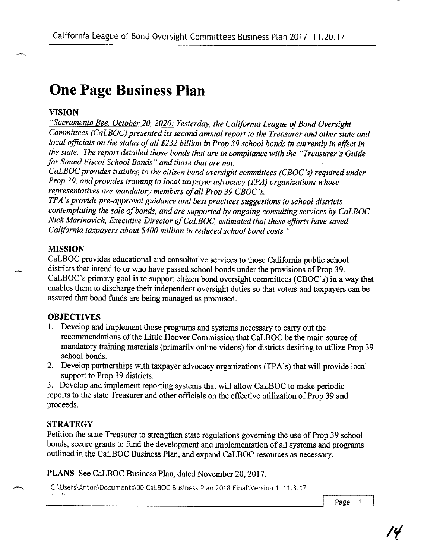# One Page Business Plan

# VISION

"Sacramento Bee, October 20, 2020: Yesterday, the California League of Bond Oversight Committees (CaLBOC) presented its second annual report to the Treasurer and other state and local officials on the status of all \$232 billion in Prop 39 school bonds in currently in effect in the state. The report detailed those bonds that are in compliance with the "Treasurer's Guide for Sound Fiscal School Bonds" and those that are not.

 $CaLBOC$  provides training to the citizen bond oversight committees (CBOC's) required under Prop 39, and provides training to local taxpayer advocacy (TPA) organizations whose representatives are mandatory members of all Prop 39 CBOC's.

TPA's provide pre-approval guidance and best practices suggestions to school districts contemplating the sale of bonds, and are supported by ongoing consulting services by CaLBOC. Nick Marinovich, Executive Director of CaLBOC, estimated that these efforts have saved California taxpayers about \$400 million in reduced school bond costs.'

### MISSION

CaLBOC provides educational and consultative services to those Califomia public school districts that intend to or who have passed school bonds under the provisions of Prop 39. CaLBOC's primary goal is to support citizen bond oversight committees (CBOC's) in a way that enables them to discharge their independent oversight duties so that voters and taxpayers can be assured that bond funds are being managed as promised.

## **OBJECTIVES**

- 1. Develop and implement those programs and systems necessary to carry out the recommendations of the Little Hoover Commission that CaLBOC be the main source of mandatory training materials (primarily online videos) for districts desiring to utilize Prop 39 school bonds.
- 2. Develop partnerships with taxpayer advocacy organizations (TPA's) that will provide local support to Prop 39 districts.

3. Develop and implement reporting systems that will allow CaLBOC to make periodic reports to the state Treasurer and other officials on the effective utilization of Prop 39 and proceeds.

## **STRATEGY**

Petition the state Treasurer to strengthen state regulations goveming the use of Prop 39 school bonds, secure grants to fund the development and implementation of all systems and programs outlined in the CaLBOC Business Plan, and expand CaLBOC resources as necessary.

PLANS See CaLBOC Business Plan, dated November 20, 2017.

C:\Users\Anton\Documents\00 CaLBOC Business Plan 2018 Final\Version 1 11.3.17

Page | <sup>1</sup>

4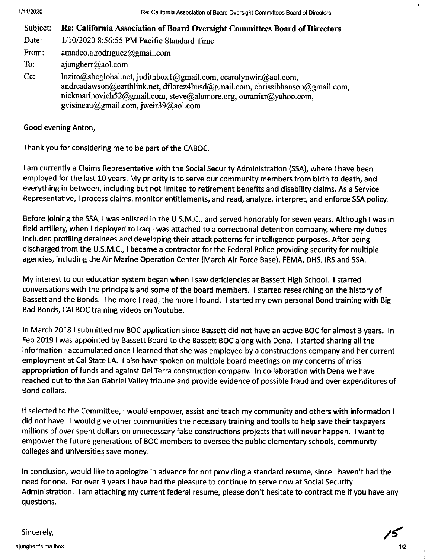| Subject:     | Re: California Association of Board Oversight Committees Board of Directors                                                                                                                                                                                     |
|--------------|-----------------------------------------------------------------------------------------------------------------------------------------------------------------------------------------------------------------------------------------------------------------|
| Date:        | 1/10/2020 8:56:55 PM Pacific Standard Time                                                                                                                                                                                                                      |
| From:        | amadeo.a.rodriguez@gmail.com                                                                                                                                                                                                                                    |
| To:          | $a$ jungherr@aol.com                                                                                                                                                                                                                                            |
| $\mathbf{C}$ | lozito@sbcglobal.net, judithbox1@gmail.com, ccarolynwin@aol.com,<br>andreadawson@earthlink.net, dflorez4busd@gmail.com, chrissibhanson@gmail.com,<br>nickmarinovich52@gmail.com, steve@alamore.org, ouraniar@yahoo.com,<br>gvisineau@gmail.com, jweir39@aol.com |

Good evening Anton,

Thank you for considering me to be part of the CABOC.

<sup>I</sup>am currently a Claims Representative with the Social Security Administration (SSA), where I have been employed for the last 10 years. My priority is to serve our community members from birth to death, and everything in between, including but not limited to retirement benefits and disability claims. As a Service Representative, I process claims, monitor entitlements, and read, analyze, interpret, and enforce SSA policy.

Before joining the SSA, I was enlisted in the U.S.M.C., and served honorably for seven years. Although I was in field artillery, when I deployed to Iraq I was attached to a correctional detention company, where my duties included profiling detainees and developing their attack patterns for intelligence purposes. After being discharged from the U.S.M.C., I became a contractor for the Federal Police providing security for multiple agencies, including the Air Marine Operation Center (March Air Force Base), FEMA, DHS, IRS and SSA.

My interest to our education system began when I saw deficiencies at Bassett High School. I started conversations with the principals and some of the board members. I started researching on the history of Bassett and the Bonds. The more I read, the more I found. I started my own personal Bond training with Big Bad Bonds, CALBOC training videos on Youtube.

ln March 2018 I submitted my BOC application since Bassett did not have an active BOC for almost 3 years. ln Feb 2019 I was appointed by Bassett Board to the Bassett BOC along with Dena. I started sharing all the information I accumulated once I learned that she was employed by a constructions company and her current employment at Cal State LA. I also have spoken on multiple board meetings on my concerns of miss appropriation of funds and against Del Terra construction company. ln collaboration with Dena we have reached out to the San Gabriel Valley tribune and provide evidence of possible fraud and over expenditures of Bond dollars.

lf selected to the Committee, I would empower, assist and teach my community and others with information <sup>I</sup> did not have. I would give other communities the necessary training and toolls to help save their taxpayers millions of over spent dollars on unnecessary false constructions projects that will never happen. I want to empower the future generations of BOC members to oversee the public elementary schools, community colleges and universities save money.

ln conclusion, would like to apologize in advance for not providing a standard resume, since I haven't had the need for one. For over 9 years I have had the pleasure to continue to serve now at Social Security Administration. I am attaching my current federal resume, please don't hesitate to contract me if you have any questions.

/{

Sincerely,

ajungherr's mailbox